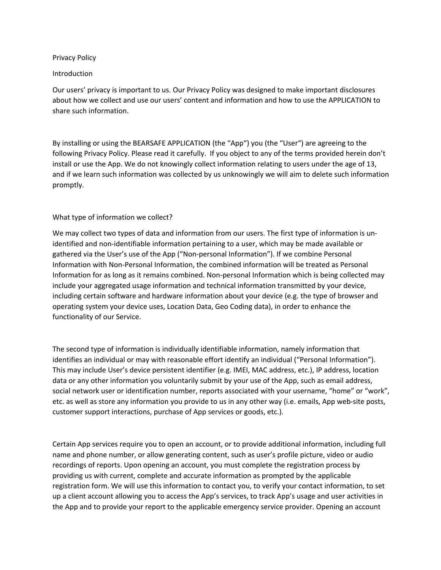### Privacy Policy

### Introduction

Our users' privacy is important to us. Our Privacy Policy was designed to make important disclosures about how we collect and use our users' content and information and how to use the APPLICATION to share such information.

By installing or using the BEARSAFE APPLICATION (the "App") you (the "User") are agreeing to the following Privacy Policy. Please read it carefully. If you object to any of the terms provided herein don't install or use the App. We do not knowingly collect information relating to users under the age of 13, and if we learn such information was collected by us unknowingly we will aim to delete such information promptly.

# What type of information we collect?

We may collect two types of data and information from our users. The first type of information is unidentified and non-identifiable information pertaining to a user, which may be made available or gathered via the User's use of the App ("Non-personal Information"). If we combine Personal Information with Non-Personal Information, the combined information will be treated as Personal Information for as long as it remains combined. Non-personal Information which is being collected may include your aggregated usage information and technical information transmitted by your device, including certain software and hardware information about your device (e.g. the type of browser and operating system your device uses, Location Data, Geo Coding data), in order to enhance the functionality of our Service.

The second type of information is individually identifiable information, namely information that identifies an individual or may with reasonable effort identify an individual ("Personal Information"). This may include User's device persistent identifier (e.g. IMEI, MAC address, etc.), IP address, location data or any other information you voluntarily submit by your use of the App, such as email address, social network user or identification number, reports associated with your username, "home" or "work", etc. as well as store any information you provide to us in any other way (i.e. emails, App web-site posts, customer support interactions, purchase of App services or goods, etc.).

Certain App services require you to open an account, or to provide additional information, including full name and phone number, or allow generating content, such as user's profile picture, video or audio recordings of reports. Upon opening an account, you must complete the registration process by providing us with current, complete and accurate information as prompted by the applicable registration form. We will use this information to contact you, to verify your contact information, to set up a client account allowing you to access the App's services, to track App's usage and user activities in the App and to provide your report to the applicable emergency service provider. Opening an account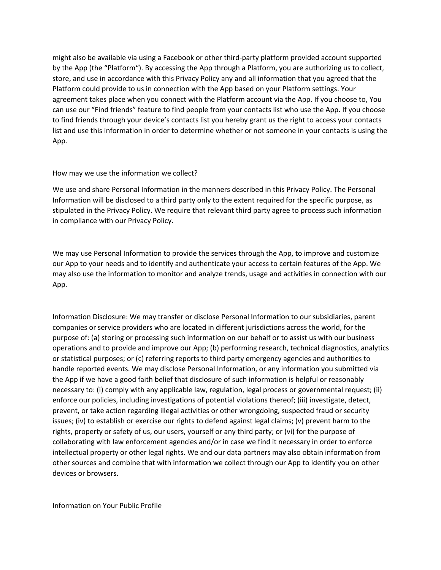might also be available via using a Facebook or other third-party platform provided account supported by the App (the "Platform"). By accessing the App through a Platform, you are authorizing us to collect, store, and use in accordance with this Privacy Policy any and all information that you agreed that the Platform could provide to us in connection with the App based on your Platform settings. Your agreement takes place when you connect with the Platform account via the App. If you choose to, You can use our "Find friends" feature to find people from your contacts list who use the App. If you choose to find friends through your device's contacts list you hereby grant us the right to access your contacts list and use this information in order to determine whether or not someone in your contacts is using the App.

### How may we use the information we collect?

We use and share Personal Information in the manners described in this Privacy Policy. The Personal Information will be disclosed to a third party only to the extent required for the specific purpose, as stipulated in the Privacy Policy. We require that relevant third party agree to process such information in compliance with our Privacy Policy.

We may use Personal Information to provide the services through the App, to improve and customize our App to your needs and to identify and authenticate your access to certain features of the App. We may also use the information to monitor and analyze trends, usage and activities in connection with our App.

Information Disclosure: We may transfer or disclose Personal Information to our subsidiaries, parent companies or service providers who are located in different jurisdictions across the world, for the purpose of: (a) storing or processing such information on our behalf or to assist us with our business operations and to provide and improve our App; (b) performing research, technical diagnostics, analytics or statistical purposes; or (c) referring reports to third party emergency agencies and authorities to handle reported events. We may disclose Personal Information, or any information you submitted via the App if we have a good faith belief that disclosure of such information is helpful or reasonably necessary to: (i) comply with any applicable law, regulation, legal process or governmental request; (ii) enforce our policies, including investigations of potential violations thereof; (iii) investigate, detect, prevent, or take action regarding illegal activities or other wrongdoing, suspected fraud or security issues; (iv) to establish or exercise our rights to defend against legal claims; (v) prevent harm to the rights, property or safety of us, our users, yourself or any third party; or (vi) for the purpose of collaborating with law enforcement agencies and/or in case we find it necessary in order to enforce intellectual property or other legal rights. We and our data partners may also obtain information from other sources and combine that with information we collect through our App to identify you on other devices or browsers.

Information on Your Public Profile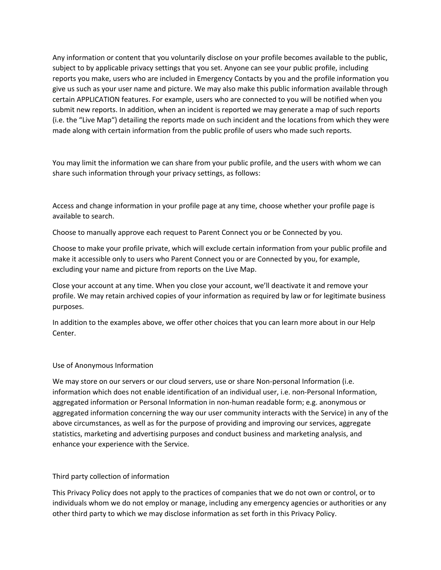Any information or content that you voluntarily disclose on your profile becomes available to the public, subject to by applicable privacy settings that you set. Anyone can see your public profile, including reports you make, users who are included in Emergency Contacts by you and the profile information you give us such as your user name and picture. We may also make this public information available through certain APPLICATION features. For example, users who are connected to you will be notified when you submit new reports. In addition, when an incident is reported we may generate a map of such reports (i.e. the "Live Map") detailing the reports made on such incident and the locations from which they were made along with certain information from the public profile of users who made such reports.

You may limit the information we can share from your public profile, and the users with whom we can share such information through your privacy settings, as follows:

Access and change information in your profile page at any time, choose whether your profile page is available to search.

Choose to manually approve each request to Parent Connect you or be Connected by you.

Choose to make your profile private, which will exclude certain information from your public profile and make it accessible only to users who Parent Connect you or are Connected by you, for example, excluding your name and picture from reports on the Live Map.

Close your account at any time. When you close your account, we'll deactivate it and remove your profile. We may retain archived copies of your information as required by law or for legitimate business purposes.

In addition to the examples above, we offer other choices that you can learn more about in our Help Center.

# Use of Anonymous Information

We may store on our servers or our cloud servers, use or share Non-personal Information (i.e. information which does not enable identification of an individual user, i.e. non-Personal Information, aggregated information or Personal Information in non-human readable form; e.g. anonymous or aggregated information concerning the way our user community interacts with the Service) in any of the above circumstances, as well as for the purpose of providing and improving our services, aggregate statistics, marketing and advertising purposes and conduct business and marketing analysis, and enhance your experience with the Service.

# Third party collection of information

This Privacy Policy does not apply to the practices of companies that we do not own or control, or to individuals whom we do not employ or manage, including any emergency agencies or authorities or any other third party to which we may disclose information as set forth in this Privacy Policy.